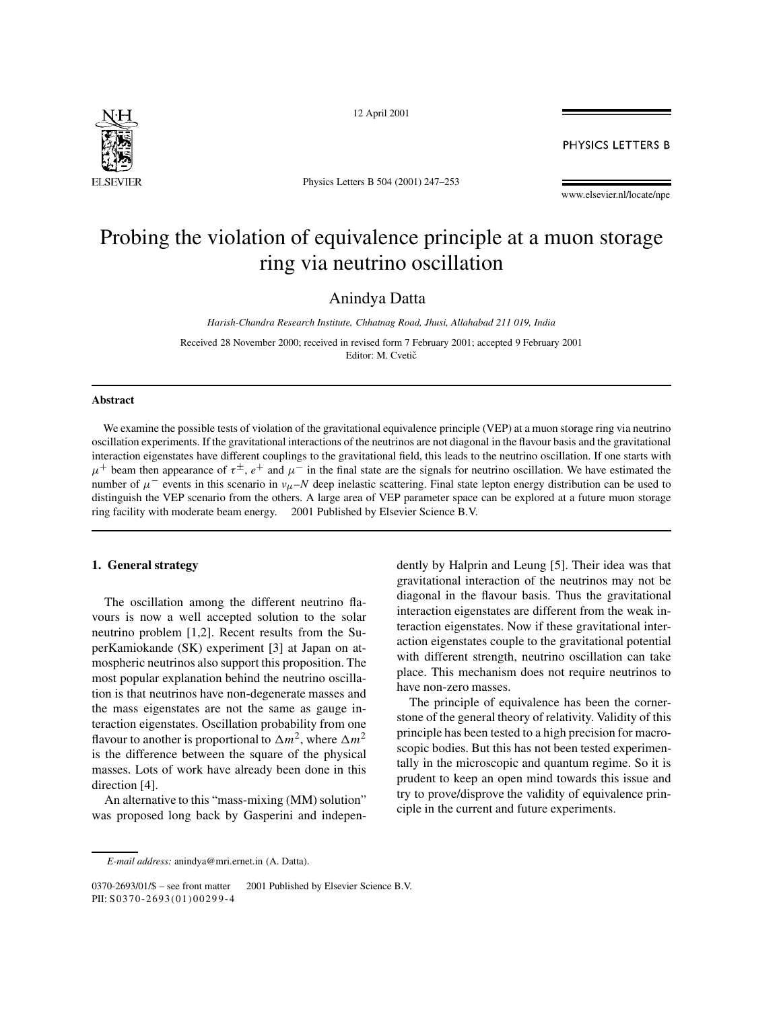

12 April 2001

**PHYSICS LETTERS B** 

Physics Letters B 504 (2001) 247–253

#### www.elsevier.nl/locate/npe

# Probing the violation of equivalence principle at a muon storage ring via neutrino oscillation

Anindya Datta

*Harish-Chandra Research Institute, Chhatnag Road, Jhusi, Allahabad 211 019, India*

Received 28 November 2000; received in revised form 7 February 2001; accepted 9 February 2001 Editor: M. Cvetič

### **Abstract**

We examine the possible tests of violation of the gravitational equivalence principle (VEP) at a muon storage ring via neutrino oscillation experiments. If the gravitational interactions of the neutrinos are not diagonal in the flavour basis and the gravitational interaction eigenstates have different couplings to the gravitational field, this leads to the neutrino oscillation. If one starts with  $\mu^+$  beam then appearance of  $\tau^{\pm}$ ,  $e^+$  and  $\mu^-$  in the final state are the signals for neutrino oscillation. We have estimated the number of  $\mu^-$  events in this scenario in  $v_\mu$ –N deep inelastic scattering. Final state lepton energy distribution can be used to distinguish the VEP scenario from the others. A large area of VEP parameter space can be explored at a future muon storage ring facility with moderate beam energy.  $\odot$  2001 Published by Elsevier Science B.V.

# **1. General strategy**

The oscillation among the different neutrino flavours is now a well accepted solution to the solar neutrino problem [1,2]. Recent results from the SuperKamiokande (SK) experiment [3] at Japan on atmospheric neutrinos also support this proposition. The most popular explanation behind the neutrino oscillation is that neutrinos have non-degenerate masses and the mass eigenstates are not the same as gauge interaction eigenstates. Oscillation probability from one flavour to another is proportional to  $\Delta m^2$ , where  $\Delta m^2$ is the difference between the square of the physical masses. Lots of work have already been done in this direction [4].

An alternative to this "mass-mixing (MM) solution" was proposed long back by Gasperini and independently by Halprin and Leung [5]. Their idea was that gravitational interaction of the neutrinos may not be diagonal in the flavour basis. Thus the gravitational interaction eigenstates are different from the weak interaction eigenstates. Now if these gravitational interaction eigenstates couple to the gravitational potential with different strength, neutrino oscillation can take place. This mechanism does not require neutrinos to have non-zero masses.

The principle of equivalence has been the cornerstone of the general theory of relativity. Validity of this principle has been tested to a high precision for macroscopic bodies. But this has not been tested experimentally in the microscopic and quantum regime. So it is prudent to keep an open mind towards this issue and try to prove/disprove the validity of equivalence principle in the current and future experiments.

*E-mail address:* anindya@mri.ernet.in (A. Datta).

<sup>0370-2693/01/\$ –</sup> see front matter © 2001 Published by Elsevier Science B.V. PII: S0370-2693(01)00299-4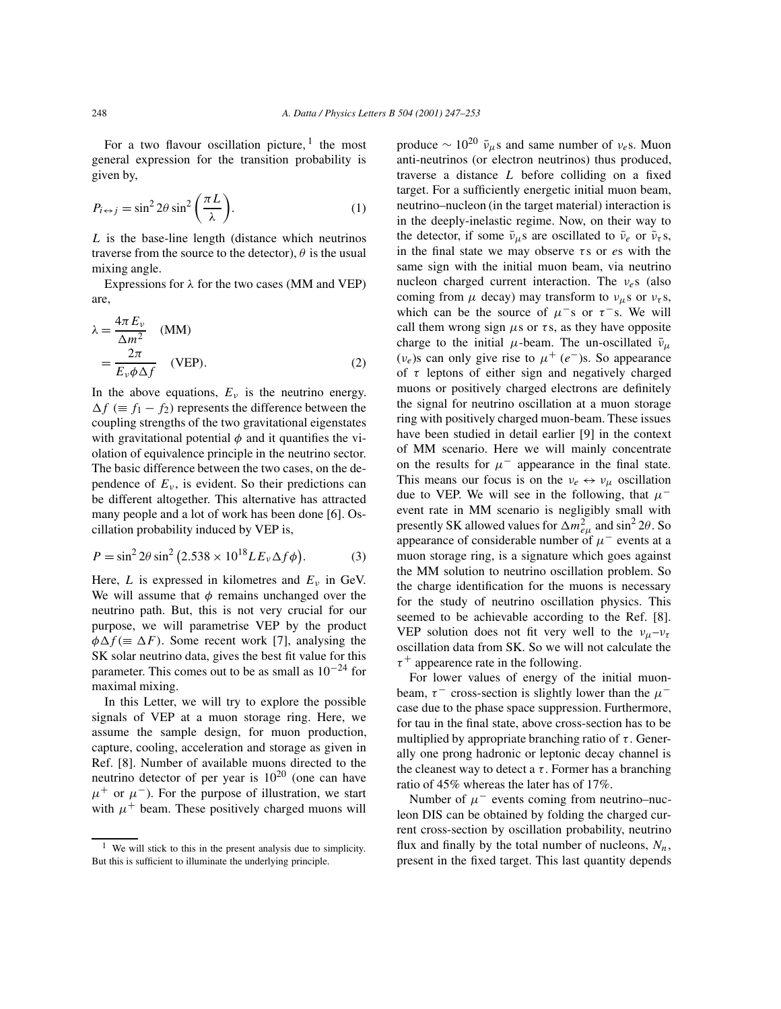For a two flavour oscillation picture,  $1$  the most general expression for the transition probability is given by,

$$
P_{i \leftrightarrow j} = \sin^2 2\theta \sin^2 \left(\frac{\pi L}{\lambda}\right).
$$
 (1)

L is the base-line length (distance which neutrinos traverse from the source to the detector),  $\theta$  is the usual mixing angle.

Expressions for  $\lambda$  for the two cases (MM and VEP) are,

$$
\lambda = \frac{4\pi E_v}{\Delta m^2}
$$
 (MM)  
=  $\frac{2\pi}{E_v \phi \Delta f}$  (VEP). (2)

In the above equations,  $E<sub>v</sub>$  is the neutrino energy.  $\Delta f$  (=  $f_1 - f_2$ ) represents the difference between the coupling strengths of the two gravitational eigenstates with gravitational potential  $\phi$  and it quantifies the violation of equivalence principle in the neutrino sector. The basic difference between the two cases, on the dependence of  $E<sub>v</sub>$ , is evident. So their predictions can be different altogether. This alternative has attracted many people and a lot of work has been done [6]. Oscillation probability induced by VEP is,

$$
P = \sin^2 2\theta \sin^2 (2.538 \times 10^{18} L E_v \Delta f \phi).
$$
 (3)

Here, L is expressed in kilometres and  $E<sub>v</sub>$  in GeV. We will assume that  $\phi$  remains unchanged over the neutrino path. But, this is not very crucial for our purpose, we will parametrise VEP by the product  $\phi \Delta f (\equiv \Delta F)$ . Some recent work [7], analysing the SK solar neutrino data, gives the best fit value for this parameter. This comes out to be as small as  $10^{-24}$  for maximal mixing.

In this Letter, we will try to explore the possible signals of VEP at a muon storage ring. Here, we assume the sample design, for muon production, capture, cooling, acceleration and storage as given in Ref. [8]. Number of available muons directed to the neutrino detector of per year is  $10^{20}$  (one can have  $\mu^+$  or  $\mu^-$ ). For the purpose of illustration, we start with  $\mu^+$  beam. These positively charged muons will produce  $\sim 10^{20}$   $\bar{v}_{\mu}$ s and same number of  $v_e$ s. Muon anti-neutrinos (or electron neutrinos) thus produced, traverse a distance L before colliding on a fixed target. For a sufficiently energetic initial muon beam, neutrino–nucleon (in the target material) interaction is in the deeply-inelastic regime. Now, on their way to the detector, if some  $\bar{v}_{\mu}$ s are oscillated to  $\bar{v}_{e}$  or  $\bar{v}_{\tau}$ s, in the final state we may observe  $\tau s$  or es with the same sign with the initial muon beam, via neutrino nucleon charged current interaction. The  $v_e$ s (also coming from  $\mu$  decay) may transform to  $v_{\mu}$ s or  $v_{\tau}$ s, which can be the source of  $\mu$ <sup>-</sup>s or  $\tau$ <sup>-</sup>s. We will call them wrong sign  $\mu$ s or  $\tau$ s, as they have opposite charge to the initial  $\mu$ -beam. The un-oscillated  $\bar{\nu}_{\mu}$  $(v_e)$ s can only give rise to  $\mu^+(e^-)$ s. So appearance of  $\tau$  leptons of either sign and negatively charged muons or positively charged electrons are definitely the signal for neutrino oscillation at a muon storage ring with positively charged muon-beam. These issues have been studied in detail earlier [9] in the context of MM scenario. Here we will mainly concentrate on the results for  $\mu^-$  appearance in the final state. This means our focus is on the  $v_e \leftrightarrow v_\mu$  oscillation due to VEP. We will see in the following, that  $\mu^$ event rate in MM scenario is negligibly small with presently SK allowed values for  $\Delta m_{e\mu}^2$  and  $\sin^2 2\theta$ . So appearance of considerable number of  $\mu^-$  events at a muon storage ring, is a signature which goes against the MM solution to neutrino oscillation problem. So the charge identification for the muons is necessary for the study of neutrino oscillation physics. This seemed to be achievable according to the Ref. [8]. VEP solution does not fit very well to the  $v_{\mu}-v_{\tau}$ oscillation data from SK. So we will not calculate the  $\tau^+$  appearence rate in the following.

For lower values of energy of the initial muonbeam,  $\tau^-$  cross-section is slightly lower than the  $\mu^$ case due to the phase space suppression. Furthermore, for tau in the final state, above cross-section has to be multiplied by appropriate branching ratio of  $\tau$ . Generally one prong hadronic or leptonic decay channel is the cleanest way to detect a  $\tau$ . Former has a branching ratio of 45% whereas the later has of 17%.

Number of  $\mu^-$  events coming from neutrino–nucleon DIS can be obtained by folding the charged current cross-section by oscillation probability, neutrino flux and finally by the total number of nucleons,  $N_n$ , present in the fixed target. This last quantity depends

<sup>&</sup>lt;sup>1</sup> We will stick to this in the present analysis due to simplicity. But this is sufficient to illuminate the underlying principle.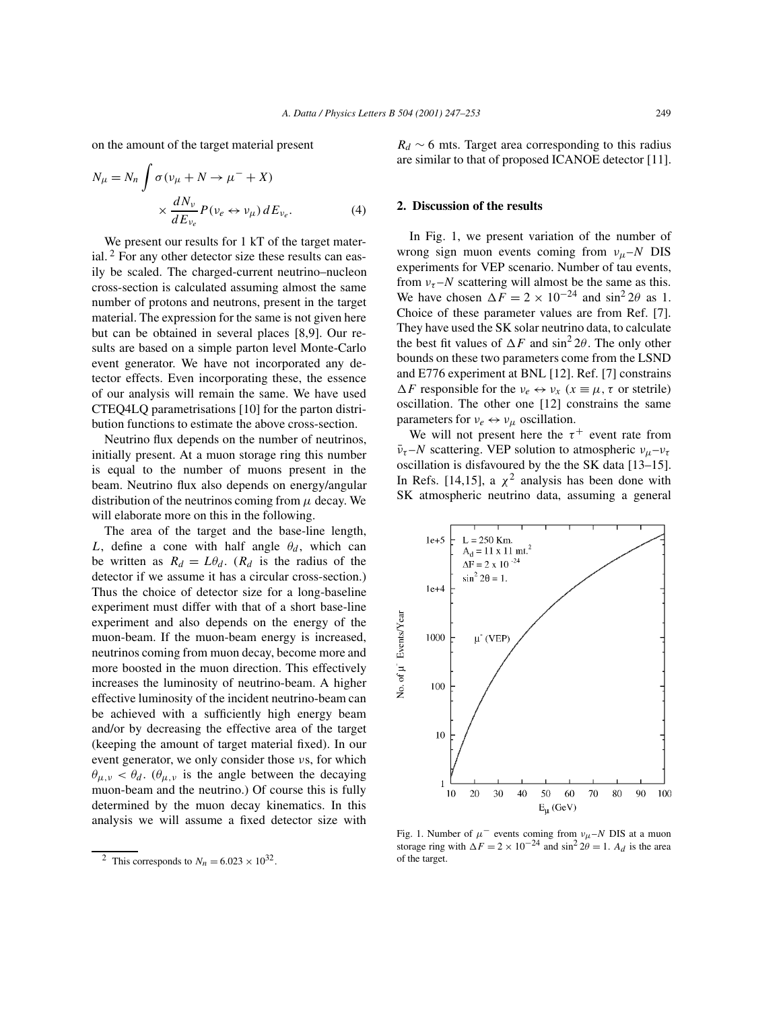on the amount of the target material present

$$
N_{\mu} = N_n \int \sigma(v_{\mu} + N \to \mu^{-} + X) \times \frac{dN_{\nu}}{dE_{\nu_e}} P(v_e \leftrightarrow v_{\mu}) dE_{\nu_e}.
$$
 (4)

We present our results for 1 kT of the target material.  $2$  For any other detector size these results can easily be scaled. The charged-current neutrino–nucleon cross-section is calculated assuming almost the same number of protons and neutrons, present in the target material. The expression for the same is not given here but can be obtained in several places [8,9]. Our results are based on a simple parton level Monte-Carlo event generator. We have not incorporated any detector effects. Even incorporating these, the essence of our analysis will remain the same. We have used CTEQ4LQ parametrisations [10] for the parton distribution functions to estimate the above cross-section.

Neutrino flux depends on the number of neutrinos, initially present. At a muon storage ring this number is equal to the number of muons present in the beam. Neutrino flux also depends on energy/angular distribution of the neutrinos coming from  $\mu$  decay. We will elaborate more on this in the following.

The area of the target and the base-line length, L, define a cone with half angle  $\theta_d$ , which can be written as  $R_d = L\theta_d$ . ( $R_d$  is the radius of the detector if we assume it has a circular cross-section.) Thus the choice of detector size for a long-baseline experiment must differ with that of a short base-line experiment and also depends on the energy of the muon-beam. If the muon-beam energy is increased, neutrinos coming from muon decay, become more and more boosted in the muon direction. This effectively increases the luminosity of neutrino-beam. A higher effective luminosity of the incident neutrino-beam can be achieved with a sufficiently high energy beam and/or by decreasing the effective area of the target (keeping the amount of target material fixed). In our event generator, we only consider those νs, for which  $\theta_{\mu,\nu} < \theta_d$ . ( $\theta_{\mu,\nu}$  is the angle between the decaying muon-beam and the neutrino.) Of course this is fully determined by the muon decay kinematics. In this analysis we will assume a fixed detector size with

 $R_d \sim 6$  mts. Target area corresponding to this radius are similar to that of proposed ICANOE detector [11].

# **2. Discussion of the results**

In Fig. 1, we present variation of the number of wrong sign muon events coming from  $v_\mu$ –N DIS experiments for VEP scenario. Number of tau events, from  $v_{\tau}$ –N scattering will almost be the same as this. We have chosen  $\Delta F = 2 \times 10^{-24}$  and sin<sup>2</sup> 2 $\theta$  as 1. Choice of these parameter values are from Ref. [7]. They have used the SK solar neutrino data, to calculate the best fit values of  $\Delta F$  and  $\sin^2 2\theta$ . The only other bounds on these two parameters come from the LSND and E776 experiment at BNL [12]. Ref. [7] constrains  $\Delta F$  responsible for the  $v_e \leftrightarrow v_x$  ( $x \equiv \mu, \tau$  or stetrile) oscillation. The other one [12] constrains the same parameters for  $v_e \leftrightarrow v_u$  oscillation.

We will not present here the  $\tau^+$  event rate from  $\bar{v}_{\tau}$ –N scattering. VEP solution to atmospheric  $v_{\mu}$ – $v_{\tau}$ oscillation is disfavoured by the the SK data [13–15]. In Refs. [14,15], a  $\chi^2$  analysis has been done with SK atmospheric neutrino data, assuming a general



Fig. 1. Number of  $\mu^-$  events coming from  $v_{\mu}$ –N DIS at a muon storage ring with  $\Delta F = 2 \times 10^{-24}$  and sin<sup>2</sup>  $2\theta = 1$ .  $A_d$  is the area of the target.

<sup>&</sup>lt;sup>2</sup> This corresponds to  $N_n = 6.023 \times 10^{32}$ .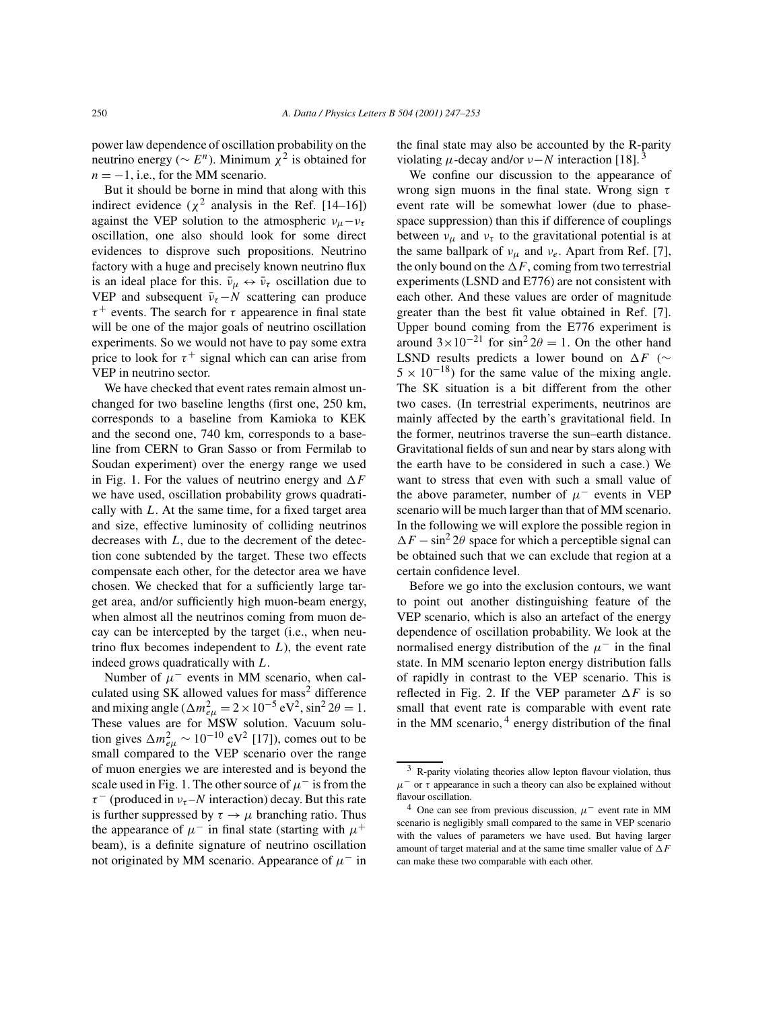power law dependence of oscillation probability on the neutrino energy ( $\sim E^n$ ). Minimum  $\chi^2$  is obtained for  $n = -1$ , i.e., for the MM scenario.

But it should be borne in mind that along with this indirect evidence ( $\chi^2$  analysis in the Ref. [14–16]) against the VEP solution to the atmospheric  $v_{\mu}-v_{\tau}$ oscillation, one also should look for some direct evidences to disprove such propositions. Neutrino factory with a huge and precisely known neutrino flux is an ideal place for this.  $\bar{v}_\mu \leftrightarrow \bar{v}_\tau$  oscillation due to VEP and subsequent  $\bar{v}_{\tau} - N$  scattering can produce  $\tau^+$  events. The search for  $\tau$  appearence in final state will be one of the major goals of neutrino oscillation experiments. So we would not have to pay some extra price to look for  $\tau^+$  signal which can can arise from VEP in neutrino sector.

We have checked that event rates remain almost unchanged for two baseline lengths (first one, 250 km, corresponds to a baseline from Kamioka to KEK and the second one, 740 km, corresponds to a baseline from CERN to Gran Sasso or from Fermilab to Soudan experiment) over the energy range we used in Fig. 1. For the values of neutrino energy and  $\Delta F$ we have used, oscillation probability grows quadratically with  $L$ . At the same time, for a fixed target area and size, effective luminosity of colliding neutrinos decreases with  $L$ , due to the decrement of the detection cone subtended by the target. These two effects compensate each other, for the detector area we have chosen. We checked that for a sufficiently large target area, and/or sufficiently high muon-beam energy, when almost all the neutrinos coming from muon decay can be intercepted by the target (i.e., when neutrino flux becomes independent to  $L$ ), the event rate indeed grows quadratically with L.

Number of  $\mu^-$  events in MM scenario, when calculated using SK allowed values for mass<sup>2</sup> difference and mixing angle ( $\Delta m_{e\mu}^2 = 2 \times 10^{-5} \text{ eV}^2$ , sin<sup>2</sup> 2 $\theta = 1$ . These values are for MSW solution. Vacuum solution gives  $\Delta m_{e\mu}^2 \sim 10^{-10} \text{ eV}^2$  [17]), comes out to be small compared to the VEP scenario over the range of muon energies we are interested and is beyond the scale used in Fig. 1. The other source of  $\mu^-$  is from the  $\tau^-$  (produced in  $v_{\tau}$  – N interaction) decay. But this rate is further suppressed by  $\tau \rightarrow \mu$  branching ratio. Thus the appearance of  $\mu^-$  in final state (starting with  $\mu^+$ beam), is a definite signature of neutrino oscillation not originated by MM scenario. Appearance of  $\mu^-$  in

the final state may also be accounted by the R-parity violating  $\mu$ -decay and/or  $\nu - N$  interaction [18].<sup>3</sup>

We confine our discussion to the appearance of wrong sign muons in the final state. Wrong sign  $\tau$ event rate will be somewhat lower (due to phasespace suppression) than this if difference of couplings between  $v_{\mu}$  and  $v_{\tau}$  to the gravitational potential is at the same ballpark of  $v_\mu$  and  $v_e$ . Apart from Ref. [7], the only bound on the  $\Delta F$ , coming from two terrestrial experiments (LSND and E776) are not consistent with each other. And these values are order of magnitude greater than the best fit value obtained in Ref. [7]. Upper bound coming from the E776 experiment is around  $3 \times 10^{-21}$  for sin<sup>2</sup>  $2\theta = 1$ . On the other hand LSND results predicts a lower bound on  $\Delta F$  ( $\sim$  $5 \times 10^{-18}$ ) for the same value of the mixing angle. The SK situation is a bit different from the other two cases. (In terrestrial experiments, neutrinos are mainly affected by the earth's gravitational field. In the former, neutrinos traverse the sun–earth distance. Gravitational fields of sun and near by stars along with the earth have to be considered in such a case.) We want to stress that even with such a small value of the above parameter, number of  $\mu^-$  events in VEP scenario will be much larger than that of MM scenario. In the following we will explore the possible region in  $\Delta F - \sin^2 2\theta$  space for which a perceptible signal can be obtained such that we can exclude that region at a certain confidence level.

Before we go into the exclusion contours, we want to point out another distinguishing feature of the VEP scenario, which is also an artefact of the energy dependence of oscillation probability. We look at the normalised energy distribution of the  $\mu^-$  in the final state. In MM scenario lepton energy distribution falls of rapidly in contrast to the VEP scenario. This is reflected in Fig. 2. If the VEP parameter  $\Delta F$  is so small that event rate is comparable with event rate in the MM scenario,  $4$  energy distribution of the final

<sup>&</sup>lt;sup>3</sup> R-parity violating theories allow lepton flavour violation, thus  $\mu$ <sup>-</sup> or  $\tau$  appearance in such a theory can also be explained without flavour oscillation.

<sup>&</sup>lt;sup>4</sup> One can see from previous discussion,  $\mu$ <sup>-</sup> event rate in MM scenario is negligibly small compared to the same in VEP scenario with the values of parameters we have used. But having larger amount of target material and at the same time smaller value of  $\Delta F$ can make these two comparable with each other.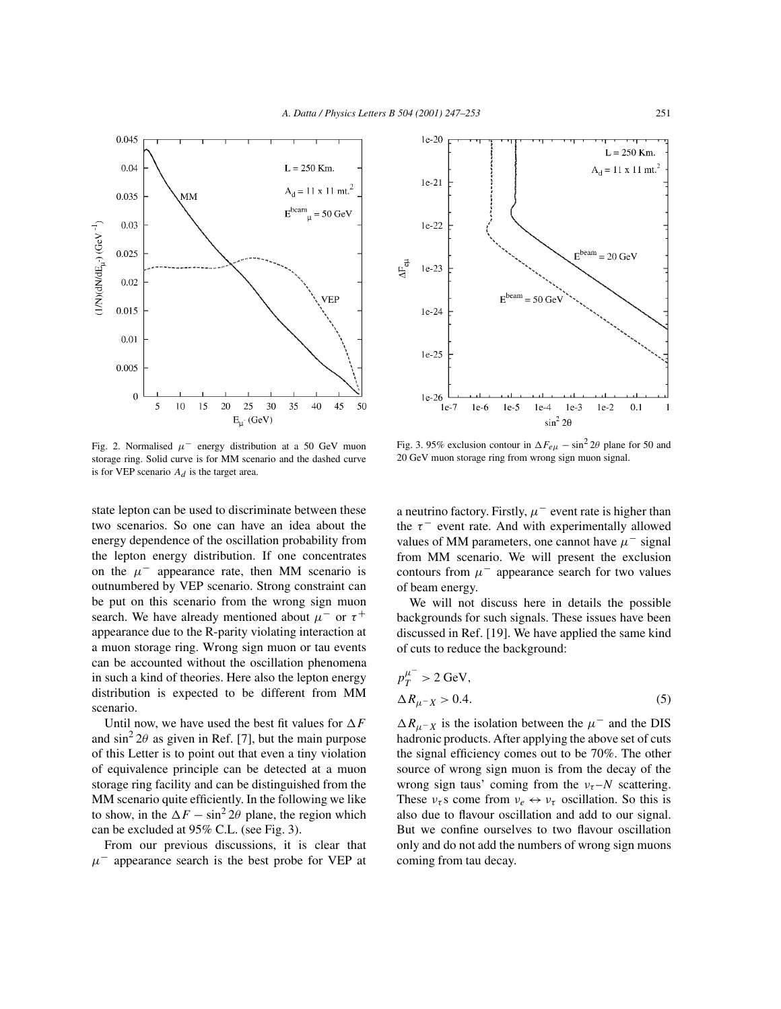

Fig. 2. Normalised  $\mu^-$  energy distribution at a 50 GeV muon storage ring. Solid curve is for MM scenario and the dashed curve is for VEP scenario  $A_d$  is the target area.

state lepton can be used to discriminate between these two scenarios. So one can have an idea about the energy dependence of the oscillation probability from the lepton energy distribution. If one concentrates on the  $\mu^-$  appearance rate, then MM scenario is outnumbered by VEP scenario. Strong constraint can be put on this scenario from the wrong sign muon search. We have already mentioned about  $\mu^-$  or  $\tau^+$ appearance due to the R-parity violating interaction at a muon storage ring. Wrong sign muon or tau events can be accounted without the oscillation phenomena in such a kind of theories. Here also the lepton energy distribution is expected to be different from MM scenario.

Until now, we have used the best fit values for  $\Delta F$ and  $\sin^2 2\theta$  as given in Ref. [7], but the main purpose of this Letter is to point out that even a tiny violation of equivalence principle can be detected at a muon storage ring facility and can be distinguished from the MM scenario quite efficiently. In the following we like to show, in the  $\Delta F - \sin^2 2\theta$  plane, the region which can be excluded at 95% C.L. (see Fig. 3).

From our previous discussions, it is clear that  $\mu^-$  appearance search is the best probe for VEP at



Fig. 3. 95% exclusion contour in  $\Delta F_{e\mu} - \sin^2 2\theta$  plane for 50 and 20 GeV muon storage ring from wrong sign muon signal.

a neutrino factory. Firstly,  $\mu^-$  event rate is higher than the  $\tau^-$  event rate. And with experimentally allowed values of MM parameters, one cannot have  $\mu^-$  signal from MM scenario. We will present the exclusion contours from  $\mu^-$  appearance search for two values of beam energy.

We will not discuss here in details the possible backgrounds for such signals. These issues have been discussed in Ref. [19]. We have applied the same kind of cuts to reduce the background:

$$
p_T^{\mu^-} > 2 \text{ GeV},
$$
  
\n
$$
\Delta R_{\mu^- X} > 0.4.
$$
 (5)

 $\Delta R_{\mu^- X}$  is the isolation between the  $\mu^-$  and the DIS hadronic products. After applying the above set of cuts the signal efficiency comes out to be 70%. The other source of wrong sign muon is from the decay of the wrong sign taus' coming from the  $v_\tau$ –N scattering. These  $v_\tau$ s come from  $v_e \leftrightarrow v_\tau$  oscillation. So this is also due to flavour oscillation and add to our signal. But we confine ourselves to two flavour oscillation only and do not add the numbers of wrong sign muons coming from tau decay.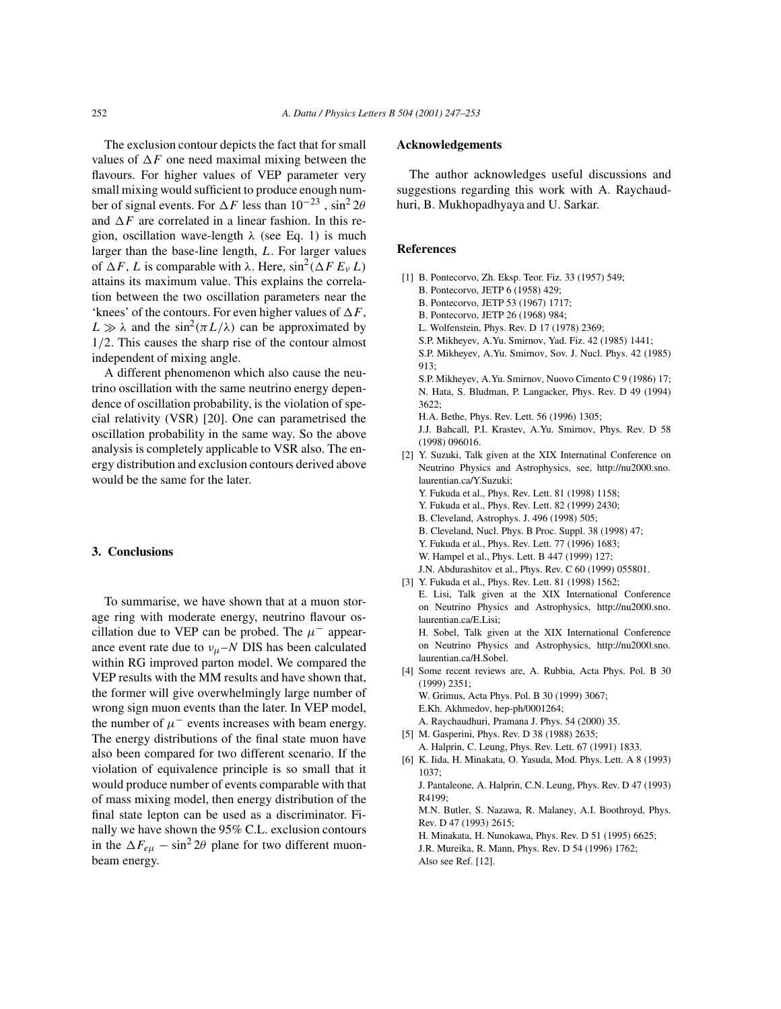The exclusion contour depicts the fact that for small values of  $\Delta F$  one need maximal mixing between the flavours. For higher values of VEP parameter very small mixing would sufficient to produce enough number of signal events. For  $\Delta F$  less than  $10^{-23}$ , sin<sup>2</sup>  $2\theta$ and  $\Delta F$  are correlated in a linear fashion. In this region, oscillation wave-length  $\lambda$  (see Eq. 1) is much larger than the base-line length, L. For larger values of  $\Delta F$ , L is comparable with  $\lambda$ . Here,  $\sin^2(\Delta F E_v L)$ attains its maximum value. This explains the correlation between the two oscillation parameters near the 'knees' of the contours. For even higher values of  $\Delta F$ ,  $L \gg \lambda$  and the sin<sup>2</sup>( $\pi L/\lambda$ ) can be approximated by 1/2. This causes the sharp rise of the contour almost independent of mixing angle.

A different phenomenon which also cause the neutrino oscillation with the same neutrino energy dependence of oscillation probability, is the violation of special relativity (VSR) [20]. One can parametrised the oscillation probability in the same way. So the above analysis is completely applicable to VSR also. The energy distribution and exclusion contours derived above would be the same for the later.

## **3. Conclusions**

To summarise, we have shown that at a muon storage ring with moderate energy, neutrino flavour oscillation due to VEP can be probed. The  $\mu^-$  appearance event rate due to  $v_\mu$ –N DIS has been calculated within RG improved parton model. We compared the VEP results with the MM results and have shown that, the former will give overwhelmingly large number of wrong sign muon events than the later. In VEP model, the number of  $\mu^-$  events increases with beam energy. The energy distributions of the final state muon have also been compared for two different scenario. If the violation of equivalence principle is so small that it would produce number of events comparable with that of mass mixing model, then energy distribution of the final state lepton can be used as a discriminator. Finally we have shown the 95% C.L. exclusion contours in the  $\Delta F_{e\mu} - \sin^2 2\theta$  plane for two different muonbeam energy.

## **Acknowledgements**

The author acknowledges useful discussions and suggestions regarding this work with A. Raychaudhuri, B. Mukhopadhyaya and U. Sarkar.

# **References**

- [1] B. Pontecorvo, Zh. Eksp. Teor. Fiz. 33 (1957) 549; B. Pontecorvo, JETP 6 (1958) 429;
	- B. Pontecorvo, JETP 53 (1967) 1717;
	- B. Pontecorvo, JETP 26 (1968) 984;
	- L. Wolfenstein, Phys. Rev. D 17 (1978) 2369;
	- S.P. Mikheyev, A.Yu. Smirnov, Yad. Fiz. 42 (1985) 1441;
	- S.P. Mikheyev, A.Yu. Smirnov, Sov. J. Nucl. Phys. 42 (1985) 913;

S.P. Mikheyev, A.Yu. Smirnov, Nuovo Cimento C 9 (1986) 17; N. Hata, S. Bludman, P. Langacker, Phys. Rev. D 49 (1994) 3622;

H.A. Bethe, Phys. Rev. Lett. 56 (1996) 1305;

J.J. Bahcall, P.I. Krastev, A.Yu. Smirnov, Phys. Rev. D 58 (1998) 096016.

- [2] Y. Suzuki, Talk given at the XIX Internatinal Conference on Neutrino Physics and Astrophysics, see, http://nu2000.sno. laurentian.ca/Y.Suzuki;
	- Y. Fukuda et al., Phys. Rev. Lett. 81 (1998) 1158;
	- Y. Fukuda et al., Phys. Rev. Lett. 82 (1999) 2430;
	- B. Cleveland, Astrophys. J. 496 (1998) 505;
	- B. Cleveland, Nucl. Phys. B Proc. Suppl. 38 (1998) 47;
	- Y. Fukuda et al., Phys. Rev. Lett. 77 (1996) 1683;
	- W. Hampel et al., Phys. Lett. B 447 (1999) 127;
	- J.N. Abdurashitov et al., Phys. Rev. C 60 (1999) 055801.
- [3] Y. Fukuda et al., Phys. Rev. Lett. 81 (1998) 1562;
	- E. Lisi, Talk given at the XIX International Conference on Neutrino Physics and Astrophysics, http://nu2000.sno. laurentian.ca/E.Lisi;

H. Sobel, Talk given at the XIX International Conference on Neutrino Physics and Astrophysics, http://nu2000.sno. laurentian.ca/H.Sobel.

- [4] Some recent reviews are, A. Rubbia, Acta Phys. Pol. B 30 (1999) 2351;
	- W. Grimus, Acta Phys. Pol. B 30 (1999) 3067;

E.Kh. Akhmedov, hep-ph/0001264;

- A. Raychaudhuri, Pramana J. Phys. 54 (2000) 35.
- [5] M. Gasperini, Phys. Rev. D 38 (1988) 2635; A. Halprin, C. Leung, Phys. Rev. Lett. 67 (1991) 1833.
- [6] K. Iida, H. Minakata, O. Yasuda, Mod. Phys. Lett. A 8 (1993) 1037;

J. Pantaleone, A. Halprin, C.N. Leung, Phys. Rev. D 47 (1993) R4199;

M.N. Butler, S. Nazawa, R. Malaney, A.I. Boothroyd, Phys. Rev. D 47 (1993) 2615;

H. Minakata, H. Nunokawa, Phys. Rev. D 51 (1995) 6625;

J.R. Mureika, R. Mann, Phys. Rev. D 54 (1996) 1762; Also see Ref. [12].